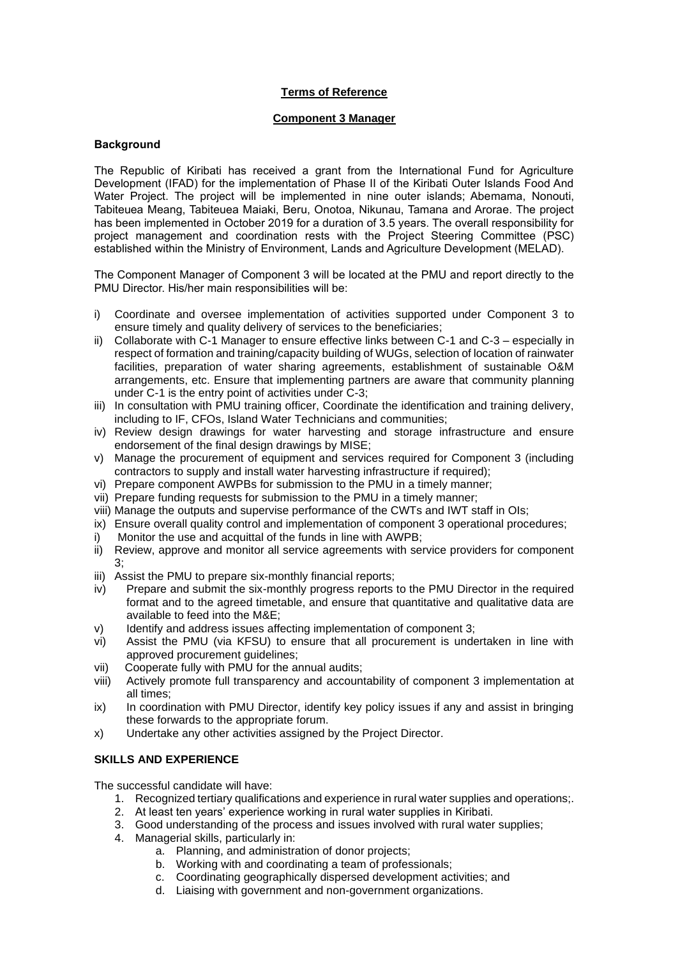## **Terms of Reference**

## **Component 3 Manager**

## **Background**

The Republic of Kiribati has received a grant from the International Fund for Agriculture Development (IFAD) for the implementation of Phase II of the Kiribati Outer Islands Food And Water Project. The project will be implemented in nine outer islands; Abemama, Nonouti, Tabiteuea Meang, Tabiteuea Maiaki, Beru, Onotoa, Nikunau, Tamana and Arorae. The project has been implemented in October 2019 for a duration of 3.5 years. The overall responsibility for project management and coordination rests with the Project Steering Committee (PSC) established within the Ministry of Environment, Lands and Agriculture Development (MELAD).

The Component Manager of Component 3 will be located at the PMU and report directly to the PMU Director. His/her main responsibilities will be:

- i) Coordinate and oversee implementation of activities supported under Component 3 to ensure timely and quality delivery of services to the beneficiaries;
- ii) Collaborate with C-1 Manager to ensure effective links between C-1 and C-3 especially in respect of formation and training/capacity building of WUGs, selection of location of rainwater facilities, preparation of water sharing agreements, establishment of sustainable O&M arrangements, etc. Ensure that implementing partners are aware that community planning under C-1 is the entry point of activities under C-3;
- iii) In consultation with PMU training officer, Coordinate the identification and training delivery, including to IF, CFOs, Island Water Technicians and communities;
- iv) Review design drawings for water harvesting and storage infrastructure and ensure endorsement of the final design drawings by MISE;
- v) Manage the procurement of equipment and services required for Component 3 (including contractors to supply and install water harvesting infrastructure if required);
- vi) Prepare component AWPBs for submission to the PMU in a timely manner;
- vii) Prepare funding requests for submission to the PMU in a timely manner;
- viii) Manage the outputs and supervise performance of the CWTs and IWT staff in OIs;
- ix) Ensure overall quality control and implementation of component 3 operational procedures;
- i) Monitor the use and acquittal of the funds in line with AWPB;
- ii) Review, approve and monitor all service agreements with service providers for component 3;
- iii) Assist the PMU to prepare six-monthly financial reports;
- iv) Prepare and submit the six-monthly progress reports to the PMU Director in the required format and to the agreed timetable, and ensure that quantitative and qualitative data are available to feed into the M&E;
- v) Identify and address issues affecting implementation of component 3;
- vi) Assist the PMU (via KFSU) to ensure that all procurement is undertaken in line with approved procurement quidelines:
- vii) Cooperate fully with PMU for the annual audits;
- viii) Actively promote full transparency and accountability of component 3 implementation at all times;
- ix) In coordination with PMU Director, identify key policy issues if any and assist in bringing these forwards to the appropriate forum.
- x) Undertake any other activities assigned by the Project Director.

## **SKILLS AND EXPERIENCE**

The successful candidate will have:

- 1. Recognized tertiary qualifications and experience in rural water supplies and operations;.
- 2. At least ten years' experience working in rural water supplies in Kiribati.
- 3. Good understanding of the process and issues involved with rural water supplies;
- 4. Managerial skills, particularly in:
	- a. Planning, and administration of donor projects;
	- b. Working with and coordinating a team of professionals;
	- c. Coordinating geographically dispersed development activities; and
	- d. Liaising with government and non-government organizations.